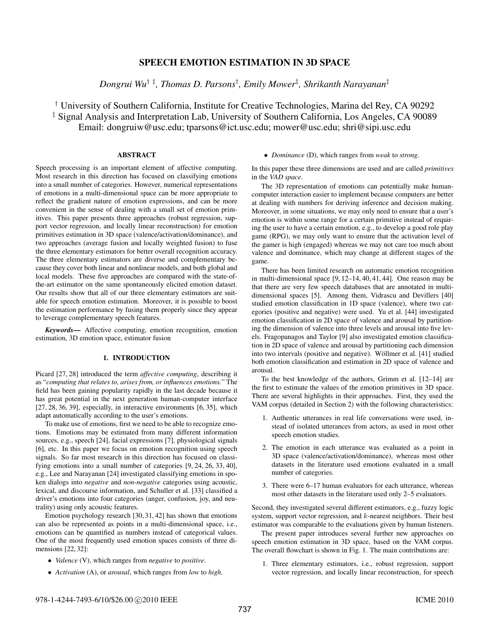# SPEECH EMOTION ESTIMATION IN 3D SPACE

*Dongrui Wu*† ‡*, Thomas D. Parsons*† *, Emily Mower*‡ *, Shrikanth Narayanan*‡

† University of Southern California, Institute for Creative Technologies, Marina del Rey, CA 90292 ‡ Signal Analysis and Interpretation Lab, University of Southern California, Los Angeles, CA 90089 Email: dongruiw@usc.edu; tparsons@ict.usc.edu; mower@usc.edu; shri@sipi.usc.edu

# ABSTRACT

Speech processing is an important element of affective computing. Most research in this direction has focused on classifying emotions into a small number of categories. However, numerical representations of emotions in a multi-dimensional space can be more appropriate to reflect the gradient nature of emotion expressions, and can be more convenient in the sense of dealing with a small set of emotion primitives. This paper presents three approaches (robust regression, support vector regression, and locally linear reconstruction) for emotion primitives estimation in 3D space (valence/activation/dominance), and two approaches (average fusion and locally weighted fusion) to fuse the three elementary estimators for better overall recognition accuracy. The three elementary estimators are diverse and complementary because they cover both linear and nonlinear models, and both global and local models. These five approaches are compared with the state-ofthe-art estimator on the same spontaneously elicited emotion dataset. Our results show that all of our three elementary estimators are suitable for speech emotion estimation. Moreover, it is possible to boost the estimation performance by fusing them properly since they appear to leverage complementary speech features.

*Keywords*— Affective computing, emotion recognition, emotion estimation, 3D emotion space, estimator fusion

# 1. INTRODUCTION

Picard [27, 28] introduced the term *affective computing*, describing it as "*computing that relates to, arises from, or influences emotions.*" The field has been gaining popularity rapidly in the last decade because it has great potential in the next generation human-computer interface [27, 28, 36, 39], especially, in interactive environments [6, 35], which adapt automatically according to the user's emotions.

To make use of emotions, first we need to be able to recognize emotions. Emotions may be estimated from many different information sources, e.g., speech [24], facial expressions [7], physiological signals [6], etc. In this paper we focus on emotion recognition using speech signals. So far most research in this direction has focused on classifying emotions into a small number of categories [9, 24, 26, 33, 40], e.g., Lee and Narayanan [24] investigated classifying emotions in spoken dialogs into *negative* and *non-negative* categories using acoustic, lexical, and discourse information, and Schuller et al. [33] classified a driver's emotions into four categories (anger, confusion, joy, and neutrality) using only acoustic features.

Emotion psychology research [30, 31, 42] has shown that emotions can also be represented as points in a multi-dimensional space, i.e., emotions can be quantified as numbers instead of categorical values. One of the most frequently used emotion spaces consists of three dimensions [22, 32]:

- *Valence* (V), which ranges from *negative* to *positive*.
- *Activation* (A), or *arousal*, which ranges from *low* to *high*.

# • *Dominance* (D), which ranges from *weak* to *strong*.

In this paper these three dimensions are used and are called *primitives* in the *VAD space*.

The 3D representation of emotions can potentially make humancomputer interaction easier to implement because computers are better at dealing with numbers for deriving inference and decision making. Moreover, in some situations, we may only need to ensure that a user's emotion is within some range for a certain primitive instead of requiring the user to have a certain emotion, e.g., to develop a good role play game (RPG), we may only want to ensure that the activation level of the gamer is high (engaged) whereas we may not care too much about valence and dominance, which may change at different stages of the game.

There has been limited research on automatic emotion recognition in multi-dimensional space [9, 12–14, 40, 41, 44]. One reason may be that there are very few speech databases that are annotated in multidimensional spaces [5]. Among them, Vidrascu and Devillers [40] studied emotion classification in 1D space (valence), where two categories (positive and negative) were used. Yu et al. [44] investigated emotion classification in 2D space of valence and arousal by partitioning the dimension of valence into three levels and arousal into five levels. Fragopanagos and Taylor [9] also investigated emotion classification in 2D space of valence and arousal by partitioning each dimension into two intervals (positive and negative). Wöllmer et al. [41] studied both emotion classification and estimation in 2D space of valence and arousal.

To the best knowledge of the authors, Grimm et al. [12–14] are the first to estimate the values of the emotion primitives in 3D space. There are several highlights in their approaches. First, they used the VAM corpus (detailed in Section 2) with the following characteristics:

- 1. Authentic utterances in real life conversations were used, instead of isolated utterances from actors, as used in most other speech emotion studies.
- 2. The emotion in each utterance was evaluated as a point in 3D space (valence/activation/dominance), whereas most other datasets in the literature used emotions evaluated in a small number of categories.
- 3. There were 6–17 human evaluators for each utterance, whereas most other datasets in the literature used only 2–5 evaluators.

Second, they investigated several different estimators, e.g., fuzzy logic system, support vector regression, and  $k$ -nearest neighbors. Their best estimator was comparable to the evaluations given by human listeners.

The present paper introduces several further new approaches on speech emotion estimation in 3D space, based on the VAM corpus. The overall flowchart is shown in Fig. 1. The main contributions are:

1. Three elementary estimators, i.e., robust regression, support vector regression, and locally linear reconstruction, for speech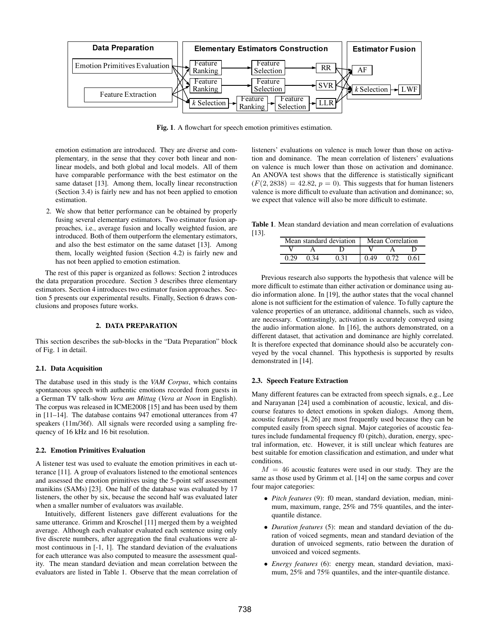

Fig. 1. A flowchart for speech emotion primitives estimation.

emotion estimation are introduced. They are diverse and complementary, in the sense that they cover both linear and nonlinear models, and both global and local models. All of them have comparable performance with the best estimator on the same dataset [13]. Among them, locally linear reconstruction (Section 3.4) is fairly new and has not been applied to emotion estimation.

2. We show that better performance can be obtained by properly fusing several elementary estimators. Two estimator fusion approaches, i.e., average fusion and locally weighted fusion, are introduced. Both of them outperform the elementary estimators, and also the best estimator on the same dataset [13]. Among them, locally weighted fusion (Section 4.2) is fairly new and has not been applied to emotion estimation.

The rest of this paper is organized as follows: Section 2 introduces the data preparation procedure. Section 3 describes three elementary estimators. Section 4 introduces two estimator fusion approaches. Section 5 presents our experimental results. Finally, Section 6 draws conclusions and proposes future works.

## 2. DATA PREPARATION

This section describes the sub-blocks in the "Data Preparation" block of Fig. 1 in detail.

# 2.1. Data Acquisition

The database used in this study is the *VAM Corpus*, which contains spontaneous speech with authentic emotions recorded from guests in a German TV talk-show *Vera am Mittag* (*Vera at Noon* in English). The corpus was released in ICME2008 [15] and has been used by them in [11–14]. The database contains 947 emotional utterances from 47 speakers (11m/36f). All signals were recorded using a sampling frequency of 16 kHz and 16 bit resolution.

#### 2.2. Emotion Primitives Evaluation

A listener test was used to evaluate the emotion primitives in each utterance [11]. A group of evaluators listened to the emotional sentences and assessed the emotion primitives using the 5-point self assessment manikins (SAMs) [23]. One half of the database was evaluated by 17 listeners, the other by six, because the second half was evaluated later when a smaller number of evaluators was available.

Intuitively, different listeners gave different evaluations for the same utterance. Grimm and Kroschel [11] merged them by a weighted average. Although each evaluator evaluated each sentence using only five discrete numbers, after aggregation the final evaluations were almost continuous in [-1, 1]. The standard deviation of the evaluations for each utterance was also computed to measure the assessment quality. The mean standard deviation and mean correlation between the evaluators are listed in Table 1. Observe that the mean correlation of listeners' evaluations on valence is much lower than those on activation and dominance. The mean correlation of listeners' evaluations on valence is much lower than those on activation and dominance. An ANOVA test shows that the difference is statistically significant  $(F(2, 2838) = 42.82, p = 0)$ . This suggests that for human listeners valence is more difficult to evaluate than activation and dominance; so, we expect that valence will also be more difficult to estimate.

Table 1. Mean standard deviation and mean correlation of evaluations [13].

|       | Mean standard deviation | Mean Correlation |      |      |  |
|-------|-------------------------|------------------|------|------|--|
|       |                         |                  |      |      |  |
| 0. VO | 0.31                    | 0.49             | 0.72 | 0 61 |  |

Previous research also supports the hypothesis that valence will be more difficult to estimate than either activation or dominance using audio information alone. In [19], the author states that the vocal channel alone is not sufficient for the estimation of valence. To fully capture the valence properties of an utterance, additional channels, such as video, are necessary. Contrastingly, activation is accurately conveyed using the audio information alone. In [16], the authors demonstrated, on a different dataset, that activation and dominance are highly correlated. It is therefore expected that dominance should also be accurately conveyed by the vocal channel. This hypothesis is supported by results demonstrated in [14].

### 2.3. Speech Feature Extraction

Many different features can be extracted from speech signals, e.g., Lee and Narayanan [24] used a combination of acoustic, lexical, and discourse features to detect emotions in spoken dialogs. Among them, acoustic features [4, 26] are most frequently used because they can be computed easily from speech signal. Major categories of acoustic features include fundamental frequency f0 (pitch), duration, energy, spectral information, etc. However, it is still unclear which features are best suitable for emotion classification and estimation, and under what conditions.

 $M = 46$  acoustic features were used in our study. They are the same as those used by Grimm et al. [14] on the same corpus and cover four major categories:

- *Pitch features* (9): f0 mean, standard deviation, median, minimum, maximum, range, 25% and 75% quantiles, and the interquantile distance.
- *Duration features* (5): mean and standard deviation of the duration of voiced segments, mean and standard deviation of the duration of unvoiced segments, ratio between the duration of unvoiced and voiced segments.
- *Energy features* (6): energy mean, standard deviation, maximum, 25% and 75% quantiles, and the inter-quantile distance.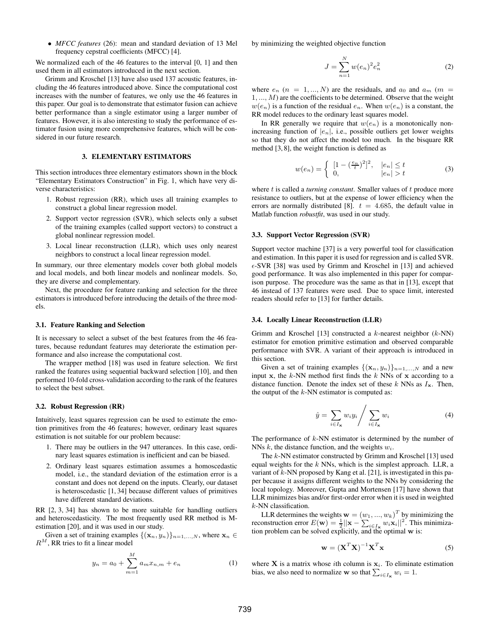• *MFCC features* (26): mean and standard deviation of 13 Mel frequency cepstral coefficients (MFCC) [4].

We normalized each of the 46 features to the interval [0, 1] and then used them in all estimators introduced in the next section.

Grimm and Kroschel [13] have also used 137 acoustic features, including the 46 features introduced above. Since the computational cost increases with the number of features, we only use the 46 features in this paper. Our goal is to demonstrate that estimator fusion can achieve better performance than a single estimator using a larger number of features. However, it is also interesting to study the performance of estimator fusion using more comprehensive features, which will be considered in our future research.

## 3. ELEMENTARY ESTIMATORS

This section introduces three elementary estimators shown in the block "Elementary Estimators Construction" in Fig. 1, which have very diverse characteristics:

- 1. Robust regression (RR), which uses all training examples to construct a global linear regression model.
- 2. Support vector regression (SVR), which selects only a subset of the training examples (called support vectors) to construct a global nonlinear regression model.
- 3. Local linear reconstruction (LLR), which uses only nearest neighbors to construct a local linear regression model.

In summary, our three elementary models cover both global models and local models, and both linear models and nonlinear models. So, they are diverse and complementary.

Next, the procedure for feature ranking and selection for the three estimators is introduced before introducing the details of the three models.

#### 3.1. Feature Ranking and Selection

It is necessary to select a subset of the best features from the 46 features, because redundant features may deteriorate the estimation performance and also increase the computational cost.

The wrapper method [18] was used in feature selection. We first ranked the features using sequential backward selection [10], and then performed 10-fold cross-validation according to the rank of the features to select the best subset.

#### 3.2. Robust Regression (RR)

Intuitively, least squares regression can be used to estimate the emotion primitives from the 46 features; however, ordinary least squares estimation is not suitable for our problem because:

- 1. There may be outliers in the 947 utterances. In this case, ordinary least squares estimation is inefficient and can be biased.
- 2. Ordinary least squares estimation assumes a homoscedastic model, i.e., the standard deviation of the estimation error is a constant and does not depend on the inputs. Clearly, our dataset is heteroscedastic [1, 34] because different values of primitives have different standard deviations.

RR [2, 3, 34] has shown to be more suitable for handling outliers and heteroscedasticity. The most frequently used RR method is Mestimation [20], and it was used in our study.

Given a set of training examples  $\{(\mathbf{x}_n, y_n)\}_{n=1,\ldots,N}$ , where  $\mathbf{x}_n \in$  $R^M$ , RR tries to fit a linear model

$$
y_n = a_0 + \sum_{m=1}^{M} a_m x_{n,m} + e_n \tag{1}
$$

by minimizing the weighted objective function

$$
J = \sum_{n=1}^{N} w(e_n)^2 e_n^2
$$
 (2)

where  $e_n$  ( $n = 1, ..., N$ ) are the residuals, and  $a_0$  and  $a_m$  ( $m =$  $1, \ldots, M$ ) are the coefficients to be determined. Observe that the weight  $w(e_n)$  is a function of the residual  $e_n$ . When  $w(e_n)$  is a constant, the RR model reduces to the ordinary least squares model.

In RR generally we require that  $w(e_n)$  is a monotonically nonincreasing function of  $|e_n|$ , i.e., possible outliers get lower weights so that they do not affect the model too much. In the bisquare RR method [3, 8], the weight function is defined as

$$
w(e_n) = \begin{cases} [1 - (\frac{e_n}{t})^2]^2, & |e_n| \le t \\ 0, & |e_n| > t \end{cases}
$$
 (3)

where t is called a *turning constant*. Smaller values of t produce more resistance to outliers, but at the expense of lower efficiency when the errors are normally distributed [8].  $t = 4.685$ , the default value in Matlab function *robustfit*, was used in our study.

### 3.3. Support Vector Regression (SVR)

Support vector machine [37] is a very powerful tool for classification and estimation. In this paper it is used for regression and is called SVR.  $\epsilon$ -SVR [38] was used by Grimm and Kroschel in [13] and achieved good performance. It was also implemented in this paper for comparison purpose. The procedure was the same as that in [13], except that 46 instead of 137 features were used. Due to space limit, interested readers should refer to [13] for further details.

#### 3.4. Locally Linear Reconstruction (LLR)

Grimm and Kroschel [13] constructed a  $k$ -nearest neighbor  $(k-NN)$ estimator for emotion primitive estimation and observed comparable performance with SVR. A variant of their approach is introduced in this section.

Given a set of training examples  $\{(\mathbf{x}_n, y_n)\}_{n=1,\dots,N}$  and a new input x, the  $k$ -NN method first finds the  $k$  NNs of x according to a distance function. Denote the index set of these k NNs as  $I_x$ . Then, the output of the  $k$ -NN estimator is computed as:

$$
\hat{y} = \sum_{i \in I_{\mathbf{x}}} w_i y_i \Bigg/ \sum_{i \in I_{\mathbf{x}}} w_i \tag{4}
$$

The performance of  $k$ -NN estimator is determined by the number of NNs  $k$ , the distance function, and the weights  $w_i$ .

The k-NN estimator constructed by Grimm and Kroschel [13] used equal weights for the  $k$  NNs, which is the simplest approach. LLR, a variant of  $k$ -NN proposed by Kang et al. [21], is investigated in this paper because it assigns different weights to the NNs by considering the local topology. Moreover, Gupta and Mortensen [17] have shown that LLR minimizes bias and/or first-order error when it is used in weighted k-NN classification.

LLR determines the weights  $\mathbf{w} = (w_1, ..., w_k)^T$  by minimizing the reconstruction error  $E(\mathbf{w}) = \frac{1}{2} ||\mathbf{x} - \sum_{i \in I_x} w_i \mathbf{x}_i||^2$ . This minimization problem can be solved explicitly, and the optimal  $w$  is:

$$
\mathbf{w} = (\mathbf{X}^T \mathbf{X})^{-1} \mathbf{X}^T \mathbf{x}
$$
 (5)

where **X** is a matrix whose *i*th column is  $x_i$ . To eliminate estimation bias, we also need to normalize **w** so that  $\sum_{i \in I_x} w_i = 1$ .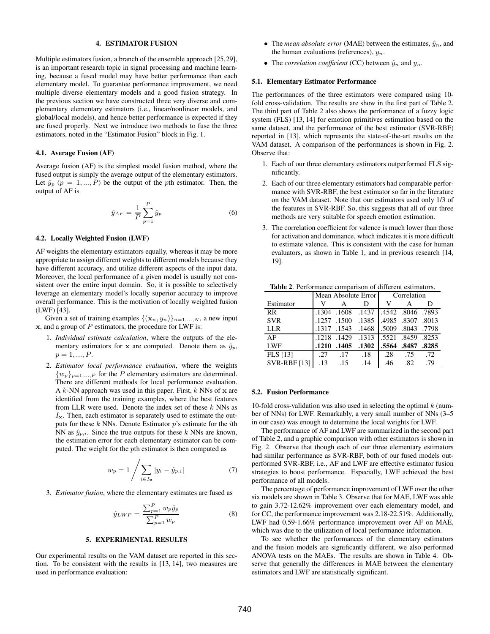# 4. ESTIMATOR FUSION

Multiple estimators fusion, a branch of the ensemble approach [25,29], is an important research topic in signal processing and machine learning, because a fused model may have better performance than each elementary model. To guarantee performance improvement, we need multiple diverse elementary models and a good fusion strategy. In the previous section we have constructed three very diverse and complementary elementary estimators (i.e., linear/nonlinear models, and global/local models), and hence better performance is expected if they are fused properly. Next we introduce two methods to fuse the three estimators, noted in the "Estimator Fusion" block in Fig. 1.

## 4.1. Average Fusion (AF)

Average fusion (AF) is the simplest model fusion method, where the fused output is simply the average output of the elementary estimators. Let  $\hat{y}_p$  ( $p = 1, ..., P$ ) be the output of the pth estimator. Then, the output of AF is

$$
\hat{y}_{AF} = \frac{1}{P} \sum_{p=1}^{P} \hat{y}_p \tag{6}
$$

### 4.2. Locally Weighted Fusion (LWF)

AF weights the elementary estimators equally, whereas it may be more appropriate to assign different weights to different models because they have different accuracy, and utilize different aspects of the input data. Moreover, the local performance of a given model is usually not consistent over the entire input domain. So, it is possible to selectively leverage an elementary model's locally superior accuracy to improve overall performance. This is the motivation of locally weighted fusion (LWF) [43].

Given a set of training examples  $\{(\mathbf{x}_n, y_n)\}_{n=1,\dots,N}$ , a new input  $x$ , and a group of  $P$  estimators, the procedure for LWF is:

- 1. *Individual estimate calculation*, where the outputs of the elementary estimators for x are computed. Denote them as  $\hat{y}_p$ ,  $p = 1, ..., P$ .
- 2. *Estimator local performance evaluation*, where the weights  $\{w_p\}_{p=1,\ldots,P}$  for the P elementary estimators are determined. There are different methods for local performance evaluation. A  $k$ -NN approach was used in this paper. First,  $k$  NNs of  $x$  are identified from the training examples, where the best features from LLR were used. Denote the index set of these  $k$  NNs as  $I_{\mathbf{x}}$ . Then, each estimator is separately used to estimate the outputs for these  $k$  NNs. Denote Estimator  $p$ 's estimate for the *i*th NN as  $\hat{y}_{p,i}$ . Since the true outputs for these k NNs are known, the estimation error for each elementary estimator can be computed. The weight for the pth estimator is then computed as

$$
w_p = 1 / \sum_{i \in I_{\mathbf{x}}} |y_i - \hat{y}_{p,i}| \tag{7}
$$

3. *Estimator fusion*, where the elementary estimates are fused as

$$
\hat{y}_{LWF} = \frac{\sum_{p=1}^{P} w_p \hat{y}_p}{\sum_{p=1}^{P} w_p} \tag{8}
$$

## 5. EXPERIMENTAL RESULTS

Our experimental results on the VAM dataset are reported in this section. To be consistent with the results in [13, 14], two measures are used in performance evaluation:

- The *mean absolute error* (MAE) between the estimates,  $\hat{y}_n$ , and the human evaluations (references),  $y_n$ .
- The *correlation coefficient* (CC) between  $\hat{y}_n$  and  $y_n$ .

#### 5.1. Elementary Estimator Performance

The performances of the three estimators were compared using 10 fold cross-validation. The results are show in the first part of Table 2. The third part of Table 2 also shows the performance of a fuzzy logic system (FLS) [13, 14] for emotion primitives estimation based on the same dataset, and the performance of the best estimator (SVR-RBF) reported in [13], which represents the state-of-the-art results on the VAM dataset. A comparison of the performances is shown in Fig. 2. Observe that:

- 1. Each of our three elementary estimators outperformed FLS significantly.
- 2. Each of our three elementary estimators had comparable performance with SVR-RBF, the best estimator so far in the literature on the VAM dataset. Note that our estimators used only 1/3 of the features in SVR-RBF. So, this suggests that all of our three methods are very suitable for speech emotion estimation.
- 3. The correlation coefficient for valence is much lower than those for activation and dominance, which indicates it is more difficult to estimate valence. This is consistent with the case for human evaluators, as shown in Table 1, and in previous research [14, 19].

Table 2. Performance comparison of different estimators.

|                     | Mean Absolute Error |       |       | Correlation |                   |       |
|---------------------|---------------------|-------|-------|-------------|-------------------|-------|
| Estimator           | V                   |       | D     | v           | А                 | D     |
| RR.                 | .1304               | .1608 | .1437 |             | .4542 .8046 .7893 |       |
| <b>SVR</b>          | .1257               | .1500 | .1385 | .4985. 4985 |                   | .8013 |
| LLR                 | .1317               | .1543 | .1468 | .5009       | .8043             | .7798 |
| AF                  | .1218               | .1429 | .1313 |             | .5521 .8459 .8253 |       |
| LWF                 | .1210               | .1405 | .1302 |             | .5564.8487        | .8285 |
| <b>FLS</b> [13]     | -27                 | .17   | .18   | .28         | .75               | .72   |
| <b>SVR-RBF</b> [13] | .13                 | .15   | .14   | .46         | .82               | .79   |

## 5.2. Fusion Performance

10-fold cross-validation was also used in selecting the optimal  $k$  (number of NNs) for LWF. Remarkably, a very small number of NNs (3–5 in our case) was enough to determine the local weights for LWF.

The performance of AF and LWF are summarized in the second part of Table 2, and a graphic comparison with other estimators is shown in Fig. 2. Observe that though each of our three elementary estimators had similar performance as SVR-RBF, both of our fused models outperformed SVR-RBF, i.e., AF and LWF are effective estimator fusion strategies to boost performance. Especially, LWF achieved the best performance of all models.

The percentage of performance improvement of LWF over the other six models are shown in Table 3. Observe that for MAE, LWF was able to gain 3.72-12.62% improvement over each elementary model, and for CC, the performance improvement was 2.18-22.51%. Additionally, LWF had 0.59-1.66% performance improvement over AF on MAE, which was due to the utilization of local performance information.

To see whether the performances of the elementary estimators and the fusion models are significantly different, we also performed ANOVA tests on the MAEs. The results are shown in Table 4. Observe that generally the differences in MAE between the elementary estimators and LWF are statistically significant.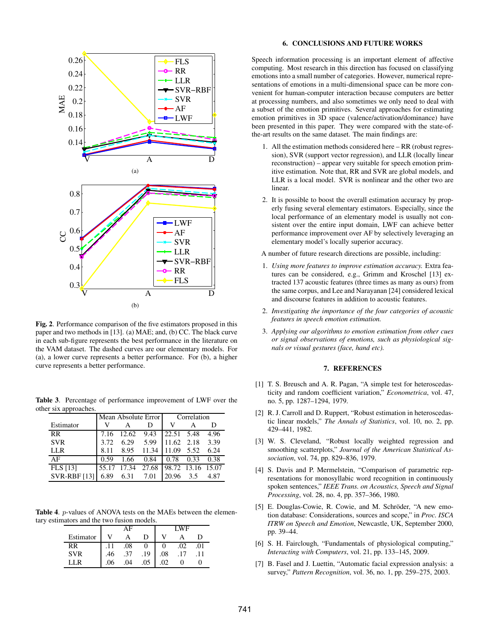

Fig. 2. Performance comparison of the five estimators proposed in this paper and two methods in [13]. (a) MAE; and, (b) CC. The black curve in each sub-figure represents the best performance in the literature on the VAM dataset. The dashed curves are our elementary models. For (a), a lower curve represents a better performance. For (b), a higher curve represents a better performance.

Table 3. Percentage of performance improvement of LWF over the other six approaches.

|                     | Mean Absolute Error |       |       | Correlation       |      |      |
|---------------------|---------------------|-------|-------|-------------------|------|------|
| Estimator           | v                   |       | D     | V                 | А    | D    |
| RR                  | 7.16                | 12.62 | 9.43  | 22.51 5.48        |      | 4.96 |
| <b>SVR</b>          | 3.72                | 6.29  | 5.99  | 11.62 2.18        |      | 3.39 |
| LLR                 | 8.11                | 8.95  | 11.34 | 11.09             | 5.52 | 6.24 |
| ΑF                  | 0.59                | 1.66  | 0.84  | 0.78              | 0.33 | 0.38 |
| FLS [13]            | 55.17               | 17.34 | 27.68 | 98.72 13.16 15.07 |      |      |
| <b>SVR-RBF</b> [13] | 6.89                | 6.31  | 7.01  | 20.96             | 3.5  | 4.87 |

Table 4. *p*-values of ANOVA tests on the MAEs between the elementary estimators and the two fusion models.

|            |     |     |     | WF          |    |     |
|------------|-----|-----|-----|-------------|----|-----|
| Estimator  |     |     | I)  |             |    | ו ו |
| RR         |     | .08 |     |             | 02 |     |
| <b>SVR</b> | .46 | .37 | .19 | .08         |    |     |
|            | .06 | .04 | 05  | $^{\prime}$ |    |     |

## 6. CONCLUSIONS AND FUTURE WORKS

Speech information processing is an important element of affective computing. Most research in this direction has focused on classifying emotions into a small number of categories. However, numerical representations of emotions in a multi-dimensional space can be more convenient for human-computer interaction because computers are better at processing numbers, and also sometimes we only need to deal with a subset of the emotion primitives. Several approaches for estimating emotion primitives in 3D space (valence/activation/dominance) have been presented in this paper. They were compared with the state-ofthe-art results on the same dataset. The main findings are:

- 1. All the estimation methods considered here RR (robust regression), SVR (support vector regression), and LLR (locally linear reconstruction) – appear very suitable for speech emotion primitive estimation. Note that, RR and SVR are global models, and LLR is a local model. SVR is nonlinear and the other two are linear.
- 2. It is possible to boost the overall estimation accuracy by properly fusing several elementary estimators. Especially, since the local performance of an elementary model is usually not consistent over the entire input domain, LWF can achieve better performance improvement over AF by selectively leveraging an elementary model's locally superior accuracy.

A number of future research directions are possible, including:

- 1. *Using more features to improve estimation accuracy.* Extra features can be considered, e.g., Grimm and Kroschel [13] extracted 137 acoustic features (three times as many as ours) from the same corpus, and Lee and Narayanan [24] considered lexical and discourse features in addition to acoustic features.
- 2. *Investigating the importance of the four categories of acoustic features in speech emotion estimation.*
- 3. *Applying our algorithms to emotion estimation from other cues or signal observations of emotions, such as physiological signals or visual gestures (face, hand etc).*

## 7. REFERENCES

- [1] T. S. Breusch and A. R. Pagan, "A simple test for heteroscedasticity and random coefficient variation," *Econometrica*, vol. 47, no. 5, pp. 1287–1294, 1979.
- [2] R. J. Carroll and D. Ruppert, "Robust estimation in heteroscedastic linear models," *The Annals of Statistics*, vol. 10, no. 2, pp. 429–441, 1982.
- [3] W. S. Cleveland, "Robust locally weighted regression and smoothing scatterplots," *Journal of the American Statistical Association*, vol. 74, pp. 829–836, 1979.
- [4] S. Davis and P. Mermelstein, "Comparison of parametric representations for monosyllabic word recognition in continuously spoken sentences," *IEEE Trans. on Acoustics, Speech and Signal Processing*, vol. 28, no. 4, pp. 357–366, 1980.
- [5] E. Douglas-Cowie, R. Cowie, and M. Schröder, "A new emotion database: Considerations, sources and scope," in *Proc. ISCA ITRW on Speech and Emotion*, Newcastle, UK, September 2000, pp. 39–44.
- [6] S. H. Fairclough, "Fundamentals of physiological computing," *Interacting with Computers*, vol. 21, pp. 133–145, 2009.
- [7] B. Fasel and J. Luettin, "Automatic facial expression analysis: a survey," *Pattern Recognition*, vol. 36, no. 1, pp. 259–275, 2003.